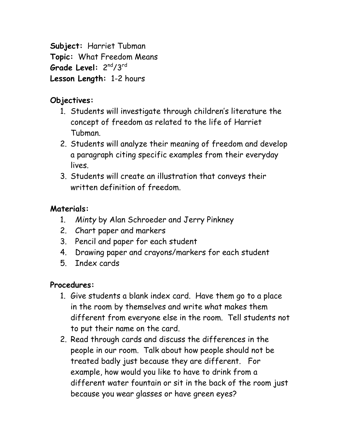**Subject:** Harriet Tubman **Topic:** What Freedom Means **Grade Level:** 2<sup>nd</sup>/3<sup>rd</sup> **Lesson Length:** 1-2 hours

# **Objectives:**

- 1. Students will investigate through children's literature the concept of freedom as related to the life of Harriet Tubman.
- 2. Students will analyze their meaning of freedom and develop a paragraph citing specific examples from their everyday lives.
- 3. Students will create an illustration that conveys their written definition of freedom.

### **Materials:**

- 1. *Minty* by Alan Schroeder and Jerry Pinkney
- 2. Chart paper and markers
- 3. Pencil and paper for each student
- 4. Drawing paper and crayons/markers for each student
- 5. Index cards

# **Procedures:**

- 1. Give students a blank index card. Have them go to a place in the room by themselves and write what makes them different from everyone else in the room. Tell students not to put their name on the card.
- 2. Read through cards and discuss the differences in the people in our room. Talk about how people should not be treated badly just because they are different. For example, how would you like to have to drink from a different water fountain or sit in the back of the room just because you wear glasses or have green eyes?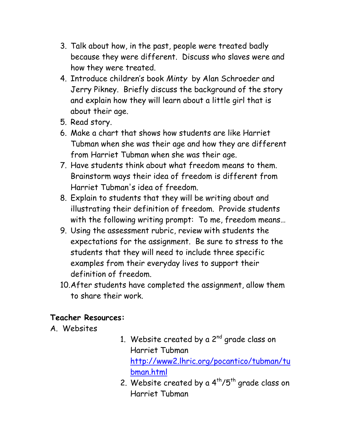- 3. Talk about how, in the past, people were treated badly because they were different. Discuss who slaves were and how they were treated.
- 4. Introduce children's book *Minty* by Alan Schroeder and Jerry Pikney. Briefly discuss the background of the story and explain how they will learn about a little girl that is about their age.
- 5. Read story.
- 6. Make a chart that shows how students are like Harriet Tubman when she was their age and how they are different from Harriet Tubman when she was their age.
- 7. Have students think about what freedom means to them. Brainstorm ways their idea of freedom is different from Harriet Tubman's idea of freedom.
- 8. Explain to students that they will be writing about and illustrating their definition of freedom. Provide students with the following writing prompt: To me, freedom means…
- 9. Using the assessment rubric, review with students the expectations for the assignment. Be sure to stress to the students that they will need to include three specific examples from their everyday lives to support their definition of freedom.
- 10.After students have completed the assignment, allow them to share their work.

### **Teacher Resources:**

- A. Websites
- 1. Website created by a  $2^{nd}$  grade class on Harriet Tubman [http://www2.lhric.org/pocantico/tubman/tu](http://www2.lhric.org/pocantico/tubman/tubman.html) [bman.html](http://www2.lhric.org/pocantico/tubman/tubman.html)
- 2. Website created by a  $4^{th}/5^{th}$  grade class on Harriet Tubman